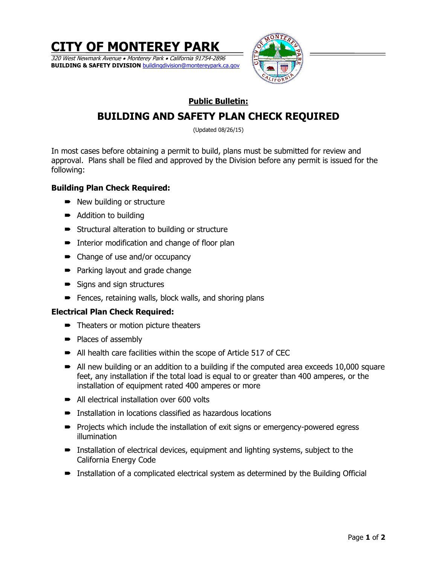**CITY OF MONTEREY PARK** 320 West Newmark Avenue • Monterey Park • California 91754-2896 **BUILDING & SAFETY DIVISION** buildingdivision@montereypark.ca.gov



## **Public Bulletin:**

# **BUILDING AND SAFETY PLAN CHECK REQUIRED**

(Updated 08/26/15)

In most cases before obtaining a permit to build, plans must be submitted for review and approval. Plans shall be filed and approved by the Division before any permit is issued for the following:

## **Building Plan Check Required:**

- New building or structure
- Addition to building
- Structural alteration to building or structure
- **Interior modification and change of floor plan**
- Change of use and/or occupancy
- Parking layout and grade change
- Signs and sign structures
- **Fences, retaining walls, block walls, and shoring plans**

## **Electrical Plan Check Required:**

- Theaters or motion picture theaters
- Places of assembly
- All health care facilities within the scope of Article 517 of CEC
- All new building or an addition to a building if the computed area exceeds 10,000 square feet, any installation if the total load is equal to or greater than 400 amperes, or the installation of equipment rated 400 amperes or more
- All electrical installation over 600 volts
- Installation in locations classified as hazardous locations
- Projects which include the installation of exit signs or emergency-powered egress illumination
- **Installation of electrical devices, equipment and lighting systems, subject to the** California Energy Code
- **•** Installation of a complicated electrical system as determined by the Building Official